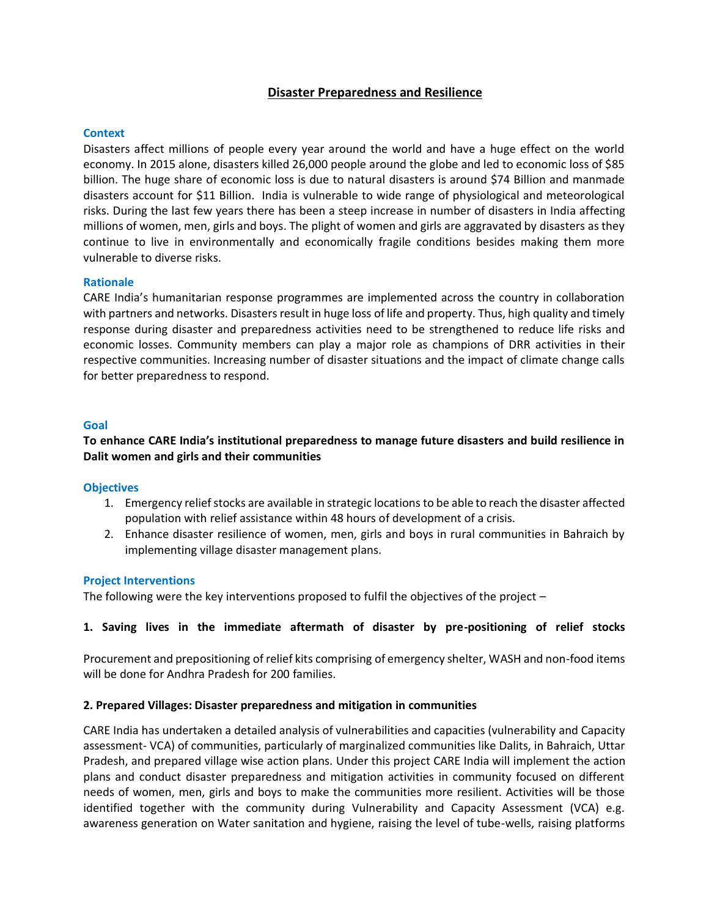# **Disaster Preparedness and Resilience**

### **Context**

Disasters affect millions of people every year around the world and have a huge effect on the world economy. In 2015 alone, disasters killed 26,000 people around the globe and led to economic loss of \$85 billion. The huge share of economic loss is due to natural disasters is around \$74 Billion and manmade disasters account for \$11 Billion. India is vulnerable to wide range of physiological and meteorological risks. During the last few years there has been a steep increase in number of disasters in India affecting millions of women, men, girls and boys. The plight of women and girls are aggravated by disasters as they continue to live in environmentally and economically fragile conditions besides making them more vulnerable to diverse risks.

### **Rationale**

CARE India's humanitarian response programmes are implemented across the country in collaboration with partners and networks. Disasters result in huge loss of life and property. Thus, high quality and timely response during disaster and preparedness activities need to be strengthened to reduce life risks and economic losses. Community members can play a major role as champions of DRR activities in their respective communities. Increasing number of disaster situations and the impact of climate change calls for better preparedness to respond.

### **Goal**

**To enhance CARE India's institutional preparedness to manage future disasters and build resilience in Dalit women and girls and their communities**

#### **Objectives**

- 1. Emergency relief stocks are available in strategic locations to be able to reach the disaster affected population with relief assistance within 48 hours of development of a crisis.
- 2. Enhance disaster resilience of women, men, girls and boys in rural communities in Bahraich by implementing village disaster management plans.

#### **Project Interventions**

The following were the key interventions proposed to fulfil the objectives of the project –

## **1. Saving lives in the immediate aftermath of disaster by pre-positioning of relief stocks**

Procurement and prepositioning of relief kits comprising of emergency shelter, WASH and non-food items will be done for Andhra Pradesh for 200 families.

#### **2. Prepared Villages: Disaster preparedness and mitigation in communities**

CARE India has undertaken a detailed analysis of vulnerabilities and capacities (vulnerability and Capacity assessment- VCA) of communities, particularly of marginalized communities like Dalits, in Bahraich, Uttar Pradesh, and prepared village wise action plans. Under this project CARE India will implement the action plans and conduct disaster preparedness and mitigation activities in community focused on different needs of women, men, girls and boys to make the communities more resilient. Activities will be those identified together with the community during Vulnerability and Capacity Assessment (VCA) e.g. awareness generation on Water sanitation and hygiene, raising the level of tube-wells, raising platforms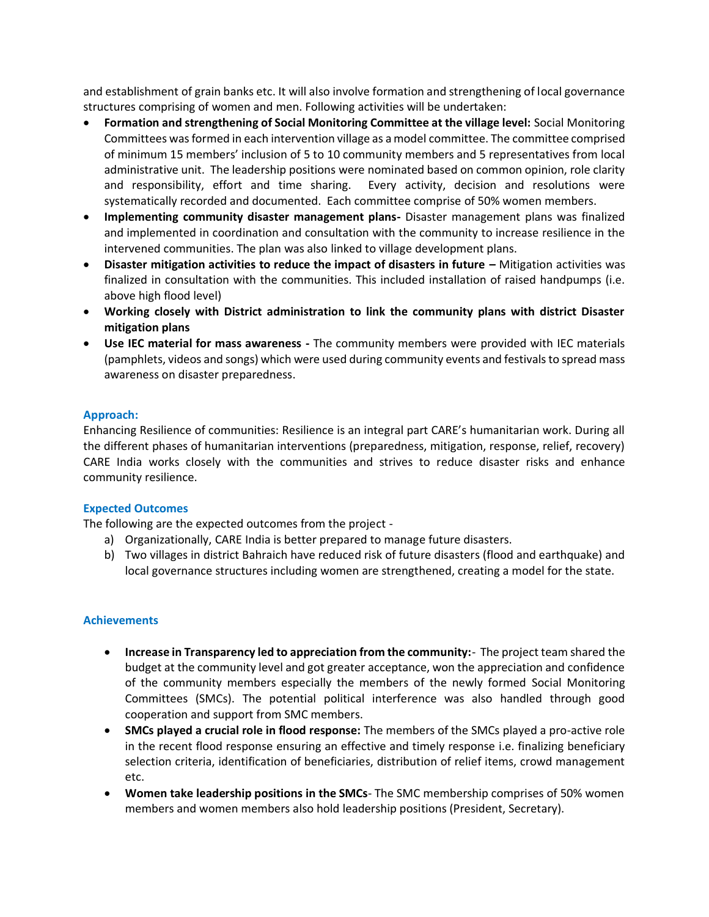and establishment of grain banks etc. It will also involve formation and strengthening of local governance structures comprising of women and men. Following activities will be undertaken:

- **Formation and strengthening of Social Monitoring Committee at the village level:** Social Monitoring Committees was formed in each intervention village as a model committee. The committee comprised of minimum 15 members' inclusion of 5 to 10 community members and 5 representatives from local administrative unit. The leadership positions were nominated based on common opinion, role clarity and responsibility, effort and time sharing. Every activity, decision and resolutions were systematically recorded and documented. Each committee comprise of 50% women members.
- **Implementing community disaster management plans-** Disaster management plans was finalized and implemented in coordination and consultation with the community to increase resilience in the intervened communities. The plan was also linked to village development plans.
- **Disaster mitigation activities to reduce the impact of disasters in future –** Mitigation activities was finalized in consultation with the communities. This included installation of raised handpumps (i.e. above high flood level)
- **Working closely with District administration to link the community plans with district Disaster mitigation plans**
- **Use IEC material for mass awareness -** The community members were provided with IEC materials (pamphlets, videos and songs) which were used during community events and festivals to spread mass awareness on disaster preparedness.

## **Approach:**

Enhancing Resilience of communities: Resilience is an integral part CARE's humanitarian work. During all the different phases of humanitarian interventions (preparedness, mitigation, response, relief, recovery) CARE India works closely with the communities and strives to reduce disaster risks and enhance community resilience.

#### **Expected Outcomes**

The following are the expected outcomes from the project -

- a) Organizationally, CARE India is better prepared to manage future disasters.
- b) Two villages in district Bahraich have reduced risk of future disasters (flood and earthquake) and local governance structures including women are strengthened, creating a model for the state.

## **Achievements**

- **Increase in Transparency led to appreciation from the community:** The project team shared the budget at the community level and got greater acceptance, won the appreciation and confidence of the community members especially the members of the newly formed Social Monitoring Committees (SMCs). The potential political interference was also handled through good cooperation and support from SMC members.
- **SMCs played a crucial role in flood response:** The members of the SMCs played a pro-active role in the recent flood response ensuring an effective and timely response i.e. finalizing beneficiary selection criteria, identification of beneficiaries, distribution of relief items, crowd management etc.
- **Women take leadership positions in the SMCs** The SMC membership comprises of 50% women members and women members also hold leadership positions (President, Secretary).